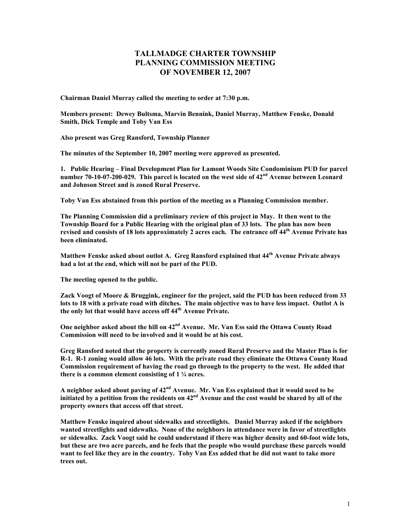## **TALLMADGE CHARTER TOWNSHIP PLANNING COMMISSION MEETING OF NOVEMBER 12, 2007**

**Chairman Daniel Murray called the meeting to order at 7:30 p.m.** 

**Members present: Dewey Bultsma, Marvin Bennink, Daniel Murray, Matthew Fenske, Donald Smith, Dick Temple and Toby Van Ess** 

**Also present was Greg Ransford, Township Planner** 

**The minutes of the September 10, 2007 meeting were approved as presented.** 

**1. Public Hearing – Final Development Plan for Lamont Woods Site Condominium PUD for parcel**  number 70-10-07-200-029. This parcel is located on the west side of 42<sup>nd</sup> Avenue between Leonard **and Johnson Street and is zoned Rural Preserve.** 

**Toby Van Ess abstained from this portion of the meeting as a Planning Commission member.** 

**The Planning Commission did a preliminary review of this project in May. It then went to the Township Board for a Public Hearing with the original plan of 33 lots. The plan has now been revised and consists of 18 lots approximately 2 acres each. The entrance off 44th Avenue Private has been eliminated.** 

**Matthew Fenske asked about outlot A. Greg Ransford explained that 44th Avenue Private always had a lot at the end, which will not be part of the PUD.** 

**The meeting opened to the public.** 

**Zack Voogt of Moore & Bruggink, engineer for the project, said the PUD has been reduced from 33 lots to 18 with a private road with ditches. The main objective was to have less impact. Outlot A is the only lot that would have access off 44th Avenue Private.** 

**One neighbor asked about the hill on 42nd Avenue. Mr. Van Ess said the Ottawa County Road Commission will need to be involved and it would be at his cost.** 

**Greg Ransford noted that the property is currently zoned Rural Preserve and the Master Plan is for R-1. R-1 zoning would allow 46 lots. With the private road they eliminate the Ottawa County Road Commission requirement of having the road go through to the property to the west. He added that there is a common element consisting of 1 ¼ acres.** 

**A neighbor asked about paving of 42nd Avenue. Mr. Van Ess explained that it would need to be initiated by a petition from the residents on 42nd Avenue and the cost would be shared by all of the property owners that access off that street.** 

**Matthew Fenske inquired about sidewalks and streetlights. Daniel Murray asked if the neighbors wanted streetlights and sidewalks. None of the neighbors in attendance were in favor of streetlights or sidewalks. Zack Voogt said he could understand if there was higher density and 60-foot wide lots, but these are two acre parcels, and he feels that the people who would purchase these parcels would want to feel like they are in the country. Toby Van Ess added that he did not want to take more trees out.**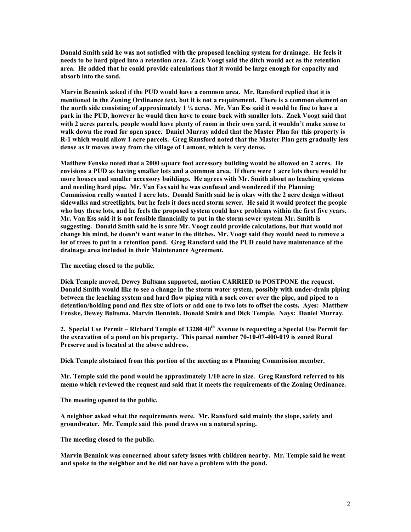**Donald Smith said he was not satisfied with the proposed leaching system for drainage. He feels it needs to be hard piped into a retention area. Zack Voogt said the ditch would act as the retention area. He added that he could provide calculations that it would be large enough for capacity and absorb into the sand.** 

**Marvin Bennink asked if the PUD would have a common area. Mr. Ransford replied that it is mentioned in the Zoning Ordinance text, but it is not a requirement. There is a common element on the north side consisting of approximately 1 ¼ acres. Mr. Van Ess said it would be fine to have a park in the PUD, however he would then have to come back with smaller lots. Zack Voogt said that with 2 acres parcels, people would have plenty of room in their own yard, it wouldn't make sense to walk down the road for open space. Daniel Murray added that the Master Plan for this property is R-1 which would allow 1 acre parcels. Greg Ransford noted that the Master Plan gets gradually less dense as it moves away from the village of Lamont, which is very dense.** 

**Matthew Fenske noted that a 2000 square foot accessory building would be allowed on 2 acres. He envisions a PUD as having smaller lots and a common area. If there were 1 acre lots there would be more houses and smaller accessory buildings. He agrees with Mr. Smith about no leaching systems and needing hard pipe. Mr. Van Ess said he was confused and wondered if the Planning Commission really wanted 1 acre lots. Donald Smith said he is okay with the 2 acre design without sidewalks and streetlights, but he feels it does need storm sewer. He said it would protect the people who buy these lots, and he feels the proposed system could have problems within the first five years. Mr. Van Ess said it is not feasible financially to put in the storm sewer system Mr. Smith is suggesting. Donald Smith said he is sure Mr. Voogt could provide calculations, but that would not change his mind, he doesn't want water in the ditches. Mr. Voogt said they would need to remove a lot of trees to put in a retention pond. Greg Ransford said the PUD could have maintenance of the drainage area included in their Maintenance Agreement.** 

**The meeting closed to the public.** 

**Dick Temple moved, Dewey Bultsma supported, motion CARRIED to POSTPONE the request. Donald Smith would like to see a change in the storm water system, possibly with under-drain piping between the leaching system and hard flow piping with a sock cover over the pipe, and piped to a detention/holding pond and flex size of lots or add one to two lots to offset the costs. Ayes: Matthew Fenske, Dewey Bultsma, Marvin Bennink, Donald Smith and Dick Temple. Nays: Daniel Murray.** 

2. Special Use Permit – Richard Temple of 13280 40<sup>th</sup> Avenue is requesting a Special Use Permit for **the excavation of a pond on his property. This parcel number 70-10-07-400-019 is zoned Rural Preserve and is located at the above address.** 

**Dick Temple abstained from this portion of the meeting as a Planning Commission member.** 

**Mr. Temple said the pond would be approximately 1/10 acre in size. Greg Ransford referred to his memo which reviewed the request and said that it meets the requirements of the Zoning Ordinance.** 

**The meeting opened to the public.** 

**A neighbor asked what the requirements were. Mr. Ransford said mainly the slope, safety and groundwater. Mr. Temple said this pond draws on a natural spring.** 

**The meeting closed to the public.** 

**Marvin Bennink was concerned about safety issues with children nearby. Mr. Temple said he went and spoke to the neighbor and he did not have a problem with the pond.**